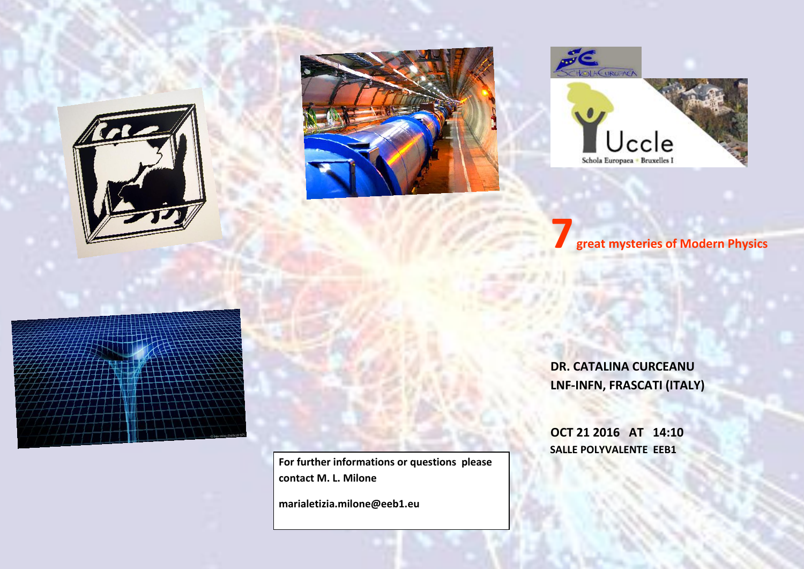





**7great mysteries of Modern Physics**



**For further informations or questions please contact M. L. Milone** 

**marialetizia.milone@eeb1.eu**

**DR. CATALINA CURCEANU LNF-INFN, FRASCATI (ITALY)**

**OCT 21 2016 AT 14:10 SALLE POLYVALENTE EEB1**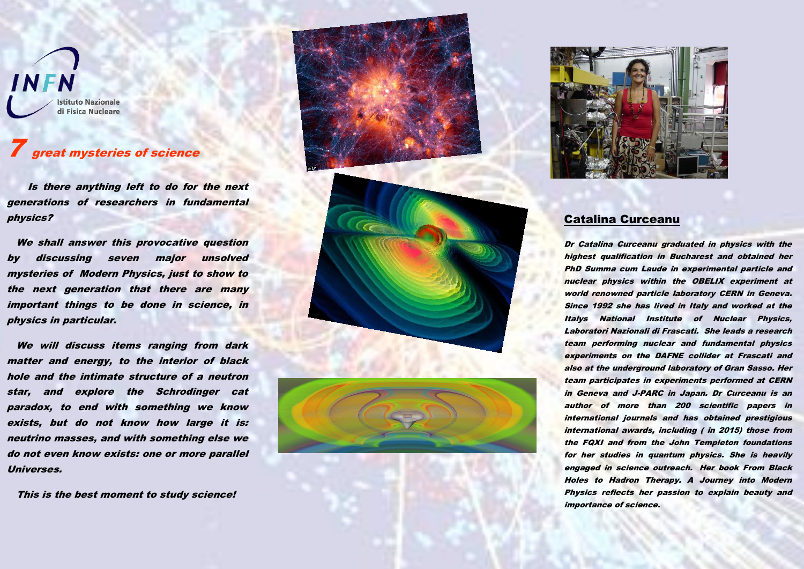**INFN Istituto Nazionale** di Fisica Nucleare

## **7** great mysteries of science

 Is there anything left to do for the next generations of researchers in fundamental physics?

We shall answer this provocative question by discussing seven major unsolved mysteries of Modern Physics, just to show to the next generation that there are many important things to be done in science, in physics in particular.

 We will discuss items ranging from dark matter and energy, to the interior of black hole and the intimate structure of a neutron star, and explore the Schrodinger cat paradox, to end with something we know exists, but do not know how large it is: neutrino masses, and with something else we do not even know exists: one or more parallel Universes.

This is the best moment to study science!





## Catalina Curceanu

Dr Catalina Curceanu graduated in physics with the highest qualification in Bucharest and obtained her PhD Summa cum Laude in experimental particle and nuclear physics within the OBELIX experiment at world renowned particle laboratory CERN in Geneva. Since 1992 she has lived in Italy and worked at the Italys National Institute of Nuclear Physics, Laboratori Nazionali di Frascati. She leads a research team performing nuclear and fundamental physics experiments on the DAFNE collider at Frascati and also at the underground laboratory of Gran Sasso. Her team participates in experiments performed at CERN in Geneva and J-PARC in Japan. Dr Curceanu is an author of more than 200 scientific papers in international journals and has obtained prestigious international awards, including ( in 2015) those from the FQXI and from the John Templeton foundations for her studies in quantum physics. She is heavily engaged in science outreach. Her book From Black Holes to Hadron Therapy. A Journey into Modern Physics reflects her passion to explain beauty and importance of science.